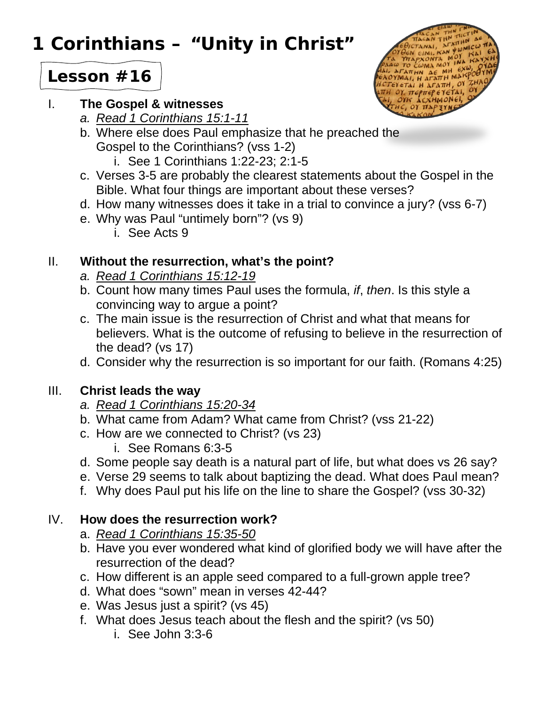# **1 Corinthians – "Unity in Christ"**



## **Lesson #16**

#### I. **The Gospel & witnesses**

- *a. Read 1 Corinthians 15:1-11*
- b. Where else does Paul emphasize that he preached the Gospel to the Corinthians? (vss 1-2)
	- i. See 1 Corinthians 1:22-23; 2:1-5
- c. Verses 3-5 are probably the clearest statements about the Gospel in the Bible. What four things are important about these verses?
- d. How many witnesses does it take in a trial to convince a jury? (vss 6-7)
- e. Why was Paul "untimely born"? (vs 9)
	- i. See Acts 9

#### II. **Without the resurrection, what's the point?**

- *a. Read 1 Corinthians 15:12-19*
- b. Count how many times Paul uses the formula, *if*, *then*. Is this style a convincing way to argue a point?
- c. The main issue is the resurrection of Christ and what that means for believers. What is the outcome of refusing to believe in the resurrection of the dead? (vs 17)
- d. Consider why the resurrection is so important for our faith. (Romans 4:25)

### III. **Christ leads the way**

- *a. Read 1 Corinthians 15:20-34*
- b. What came from Adam? What came from Christ? (vss 21-22)
- c. How are we connected to Christ? (vs 23)
	- i. See Romans 6:3-5
- d. Some people say death is a natural part of life, but what does vs 26 say?
- e. Verse 29 seems to talk about baptizing the dead. What does Paul mean?
- f. Why does Paul put his life on the line to share the Gospel? (vss 30-32)

#### IV. **How does the resurrection work?**

- a. *Read 1 Corinthians 15:35-50*
- b. Have you ever wondered what kind of glorified body we will have after the resurrection of the dead?
- c. How different is an apple seed compared to a full-grown apple tree?
- d. What does "sown" mean in verses 42-44?
- e. Was Jesus just a spirit? (vs 45)
- f. What does Jesus teach about the flesh and the spirit? (vs 50)
	- i. See John 3:3-6